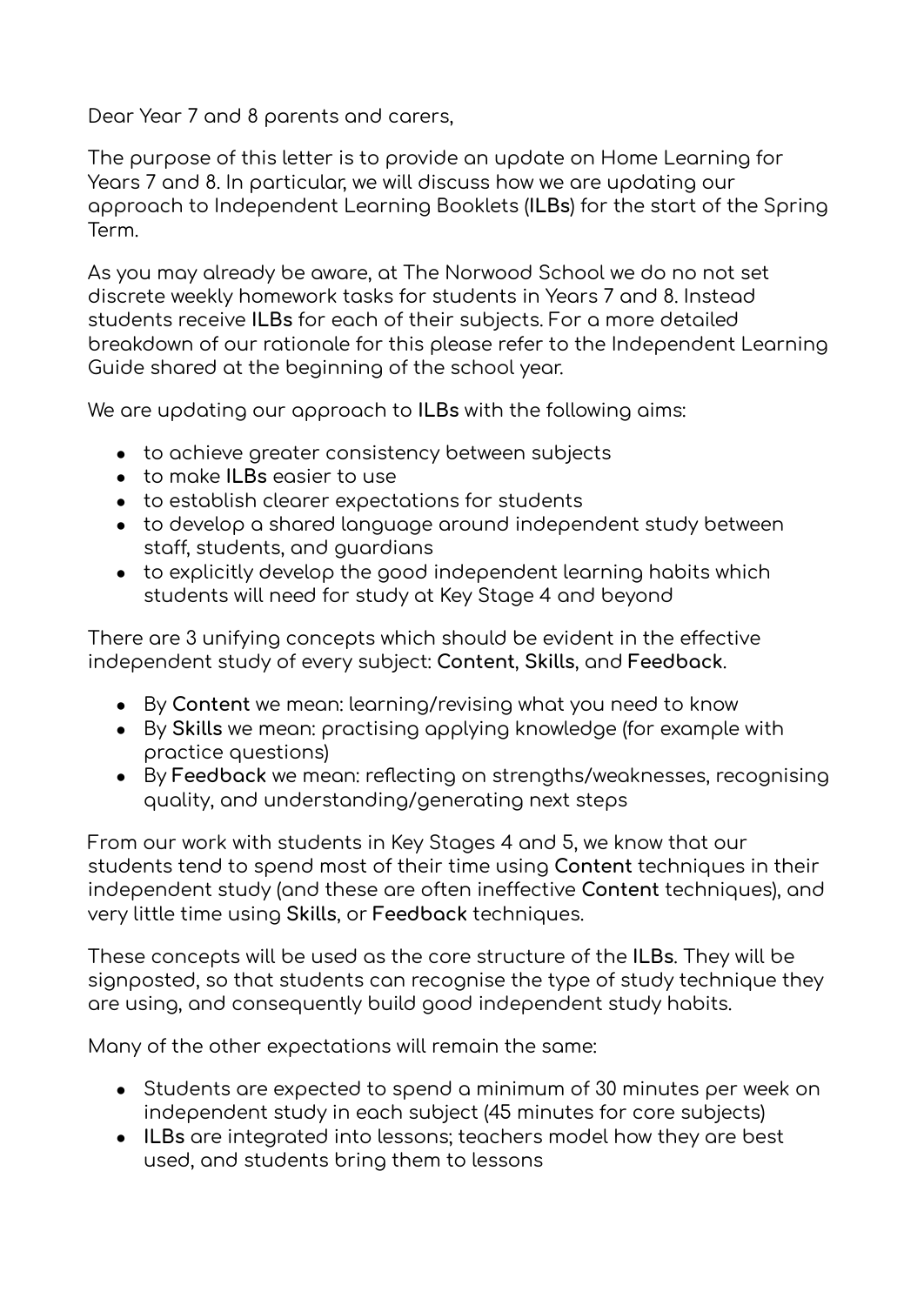Dear Year 7 and 8 parents and carers,

The purpose of this letter is to provide an update on Home Learning for Years 7 and 8. In particular, we will discuss how we are updating our approach to Independent Learning Booklets (**ILBs**) for the start of the Spring Term.

As you may already be aware, at The Norwood School we do no not set discrete weekly homework tasks for students in Years 7 and 8. Instead students receive **ILBs** for each of their subjects. For a more detailed breakdown of our rationale for this please refer to the Independent Learning Guide shared at the beginning of the school year.

We are updating our approach to **ILBs** with the following aims:

- to achieve greater consistency between subjects
- to make **ILBs** easier to use
- to establish clearer expectations for students
- to develop a shared language around independent study between staff, students, and guardians
- to explicitly develop the good independent learning habits which students will need for study at Key Stage 4 and beyond

There are 3 unifying concepts which should be evident in the effective independent study of every subject: **Content**, **Skills**, and **Feedback**.

- By **Content** we mean: learning/revising what you need to know
- By **Skills** we mean: practising applying knowledge (for example with practice questions)
- By **Feedback** we mean: reflecting on strengths/weaknesses, recognising quality, and understanding/generating next steps

From our work with students in Key Stages 4 and 5, we know that our students tend to spend most of their time using **Content** techniques in their independent study (and these are often ineffective **Content** techniques), and very little time using **Skills**, or **Feedback** techniques.

These concepts will be used as the core structure of the **ILBs**. They will be signposted, so that students can recognise the type of study technique they are using, and consequently build good independent study habits.

Many of the other expectations will remain the same:

- Students are expected to spend a minimum of 30 minutes per week on independent study in each subject (45 minutes for core subjects)
- **ILBs** are integrated into lessons; teachers model how they are best used, and students bring them to lessons